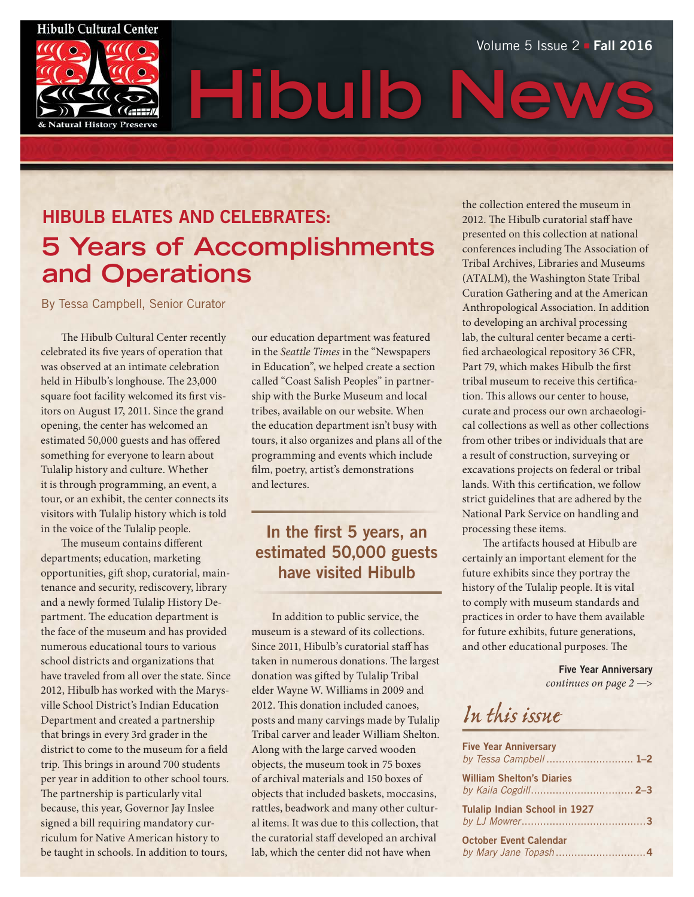# **Hibulb Cultural Center Natural History Preserv**

**Hibulb News** Volume 5 Issue 2 - Fall 2016

# HIBULB ELATES AND CELEBRATES: **5 Years of Accomplishments and Operations**

By Tessa Campbell, Senior Curator

The Hibulb Cultural Center recently celebrated its five years of operation that was observed at an intimate celebration held in Hibulb's longhouse. The 23,000 square foot facility welcomed its first visitors on August 17, 2011. Since the grand opening, the center has welcomed an estimated 50,000 guests and has offered something for everyone to learn about Tulalip history and culture. Whether it is through programming, an event, a tour, or an exhibit, the center connects its visitors with Tulalip history which is told in the voice of the Tulalip people.

The museum contains different departments; education, marketing opportunities, gift shop, curatorial, maintenance and security, rediscovery, library and a newly formed Tulalip History Department. The education department is the face of the museum and has provided numerous educational tours to various school districts and organizations that have traveled from all over the state. Since 2012, Hibulb has worked with the Marysville School District's Indian Education Department and created a partnership that brings in every 3rd grader in the district to come to the museum for a field trip. This brings in around 700 students per year in addition to other school tours. The partnership is particularly vital because, this year, Governor Jay Inslee signed a bill requiring mandatory curriculum for Native American history to be taught in schools. In addition to tours,

our education department was featured in the *Seattle Times* in the "Newspapers in Education", we helped create a section called "Coast Salish Peoples" in partnership with the Burke Museum and local tribes, available on our website. When the education department isn't busy with tours, it also organizes and plans all of the programming and events which include film, poetry, artist's demonstrations and lectures.

### In the first 5 years, an estimated 50,000 guests have visited Hibulb

In addition to public service, the museum is a steward of its collections. Since 2011, Hibulb's curatorial staff has taken in numerous donations. The largest donation was gifted by Tulalip Tribal elder Wayne W. Williams in 2009 and 2012. This donation included canoes, posts and many carvings made by Tulalip Tribal carver and leader William Shelton. Along with the large carved wooden objects, the museum took in 75 boxes of archival materials and 150 boxes of objects that included baskets, moccasins, rattles, beadwork and many other cultural items. It was due to this collection, that the curatorial staff developed an archival lab, which the center did not have when

the collection entered the museum in 2012. The Hibulb curatorial staff have presented on this collection at national conferences including The Association of Tribal Archives, Libraries and Museums (ATALM), the Washington State Tribal Curation Gathering and at the American Anthropological Association. In addition to developing an archival processing lab, the cultural center became a certified archaeological repository 36 CFR, Part 79, which makes Hibulb the first tribal museum to receive this certification. This allows our center to house, curate and process our own archaeological collections as well as other collections from other tribes or individuals that are a result of construction, surveying or excavations projects on federal or tribal lands. With this certification, we follow strict guidelines that are adhered by the National Park Service on handling and processing these items.

The artifacts housed at Hibulb are certainly an important element for the future exhibits since they portray the history of the Tulalip people. It is vital to comply with museum standards and practices in order to have them available for future exhibits, future generations, and other educational purposes. The

> Five Year Anniversary *continues on page 2* —>

### In this issue

| <b>Five Year Anniversary</b><br>by Tessa Campbell 1-2 |  |
|-------------------------------------------------------|--|
| <b>William Shelton's Diaries</b>                      |  |
| <b>Tulalip Indian School in 1927</b>                  |  |
| <b>October Event Calendar</b>                         |  |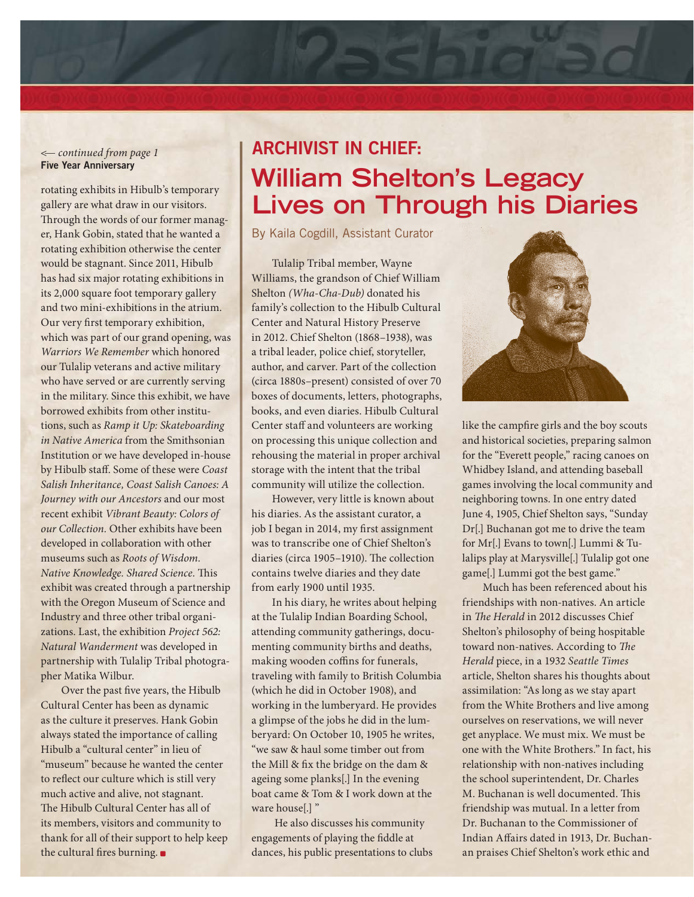#### <— *continued from page 1* Five Year Anniversary

rotating exhibits in Hibulb's temporary gallery are what draw in our visitors. Through the words of our former manager, Hank Gobin, stated that he wanted a rotating exhibition otherwise the center would be stagnant. Since 2011, Hibulb has had six major rotating exhibitions in its 2,000 square foot temporary gallery and two mini-exhibitions in the atrium. Our very first temporary exhibition, which was part of our grand opening, was *Warriors We Remember* which honored our Tulalip veterans and active military who have served or are currently serving in the military. Since this exhibit, we have borrowed exhibits from other institutions, such as *Ramp it Up: Skateboarding in Native America* from the Smithsonian Institution or we have developed in-house by Hibulb staff. Some of these were *Coast Salish Inheritance, Coast Salish Canoes: A Journey with our Ancestors* and our most recent exhibit *Vibrant Beauty: Colors of our Collection.* Other exhibits have been developed in collaboration with other museums such as *Roots of Wisdom. Native Knowledge. Shared Science.* This exhibit was created through a partnership with the Oregon Museum of Science and Industry and three other tribal organizations. Last, the exhibition *Project 562: Natural Wanderment* was developed in partnership with Tulalip Tribal photographer Matika Wilbur.

Over the past five years, the Hibulb Cultural Center has been as dynamic as the culture it preserves. Hank Gobin always stated the importance of calling Hibulb a "cultural center" in lieu of "museum" because he wanted the center to reflect our culture which is still very much active and alive, not stagnant. The Hibulb Cultural Center has all of its members, visitors and community to thank for all of their support to help keep the cultural fires burning.

## ARCHIVIST IN CHIEF: **William Shelton's Legacy Lives on Through his Diaries**

By Kaila Cogdill, Assistant Curator

Tulalip Tribal member, Wayne Williams, the grandson of Chief William Shelton *(Wha-Cha-Dub)* donated his family's collection to the Hibulb Cultural Center and Natural History Preserve in 2012. Chief Shelton (1868–1938), was a tribal leader, police chief, storyteller, author, and carver. Part of the collection (circa 1880s–present) consisted of over 70 boxes of documents, letters, photographs, books, and even diaries. Hibulb Cultural Center staff and volunteers are working on processing this unique collection and rehousing the material in proper archival storage with the intent that the tribal community will utilize the collection.

However, very little is known about his diaries. As the assistant curator, a job I began in 2014, my first assignment was to transcribe one of Chief Shelton's diaries (circa 1905–1910). The collection contains twelve diaries and they date from early 1900 until 1935.

In his diary, he writes about helping at the Tulalip Indian Boarding School, attending community gatherings, documenting community births and deaths, making wooden coffins for funerals, traveling with family to British Columbia (which he did in October 1908), and working in the lumberyard. He provides a glimpse of the jobs he did in the lumberyard: On October 10, 1905 he writes, "we saw & haul some timber out from the Mill & fix the bridge on the dam & ageing some planks[.] In the evening boat came & Tom & I work down at the ware house[.] "

 He also discusses his community engagements of playing the fiddle at dances, his public presentations to clubs



like the campfire girls and the boy scouts and historical societies, preparing salmon for the "Everett people," racing canoes on Whidbey Island, and attending baseball games involving the local community and neighboring towns. In one entry dated June 4, 1905, Chief Shelton says, "Sunday Dr[.] Buchanan got me to drive the team for Mr[.] Evans to town[.] Lummi & Tulalips play at Marysville[.] Tulalip got one game[.] Lummi got the best game."

Much has been referenced about his friendships with non-natives. An article in *The Herald* in 2012 discusses Chief Shelton's philosophy of being hospitable toward non-natives. According to *The Herald* piece, in a 1932 *Seattle Times*  article, Shelton shares his thoughts about assimilation: "As long as we stay apart from the White Brothers and live among ourselves on reservations, we will never get anyplace. We must mix. We must be one with the White Brothers." In fact, his relationship with non-natives including the school superintendent, Dr. Charles M. Buchanan is well documented. This friendship was mutual. In a letter from Dr. Buchanan to the Commissioner of Indian Affairs dated in 1913, Dr. Buchanan praises Chief Shelton's work ethic and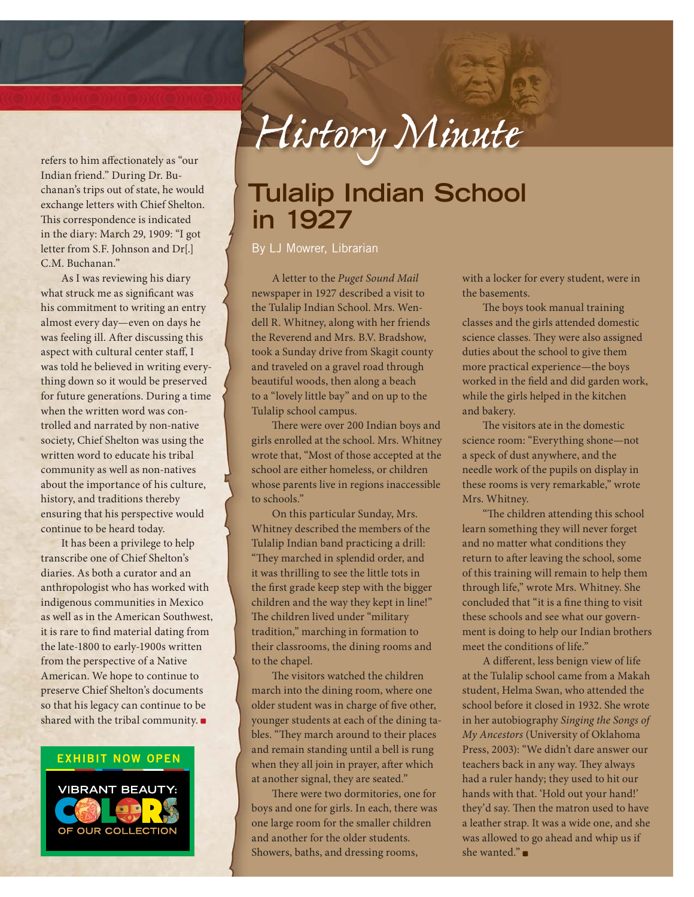refers to him affectionately as "our Indian friend." During Dr. Buchanan's trips out of state, he would exchange letters with Chief Shelton. This correspondence is indicated in the diary: March 29, 1909: "I got letter from S.F. Johnson and Dr[.] C.M. Buchanan."

As I was reviewing his diary what struck me as significant was his commitment to writing an entry almost every day—even on days he was feeling ill. After discussing this aspect with cultural center staff, I was told he believed in writing everything down so it would be preserved for future generations. During a time when the written word was controlled and narrated by non-native society, Chief Shelton was using the written word to educate his tribal community as well as non-natives about the importance of his culture, history, and traditions thereby ensuring that his perspective would continue to be heard today.

It has been a privilege to help transcribe one of Chief Shelton's diaries. As both a curator and an anthropologist who has worked with indigenous communities in Mexico as well as in the American Southwest, it is rare to find material dating from the late-1800 to early-1900s written from the perspective of a Native American. We hope to continue to preserve Chief Shelton's documents so that his legacy can continue to be shared with the tribal community.

#### EXHIBIT NOW OPEN



*History Minute*

### **Tulalip Indian School in 1927**

By LJ Mowrer, Librarian

A letter to the *Puget Sound Mail* newspaper in 1927 described a visit to the Tulalip Indian School. Mrs. Wendell R. Whitney, along with her friends the Reverend and Mrs. B.V. Bradshow, took a Sunday drive from Skagit county and traveled on a gravel road through beautiful woods, then along a beach to a "lovely little bay" and on up to the Tulalip school campus.

There were over 200 Indian boys and girls enrolled at the school. Mrs. Whitney wrote that, "Most of those accepted at the school are either homeless, or children whose parents live in regions inaccessible to schools."

On this particular Sunday, Mrs. Whitney described the members of the Tulalip Indian band practicing a drill: "They marched in splendid order, and it was thrilling to see the little tots in the first grade keep step with the bigger children and the way they kept in line!" The children lived under "military tradition," marching in formation to their classrooms, the dining rooms and to the chapel.

The visitors watched the children march into the dining room, where one older student was in charge of five other, younger students at each of the dining tables. "They march around to their places and remain standing until a bell is rung when they all join in prayer, after which at another signal, they are seated."

There were two dormitories, one for boys and one for girls. In each, there was one large room for the smaller children and another for the older students. Showers, baths, and dressing rooms,

with a locker for every student, were in the basements.

The boys took manual training classes and the girls attended domestic science classes. They were also assigned duties about the school to give them more practical experience—the boys worked in the field and did garden work, while the girls helped in the kitchen and bakery.

The visitors ate in the domestic science room: "Everything shone—not a speck of dust anywhere, and the needle work of the pupils on display in these rooms is very remarkable," wrote Mrs. Whitney.

"The children attending this school learn something they will never forget and no matter what conditions they return to after leaving the school, some of this training will remain to help them through life," wrote Mrs. Whitney. She concluded that "it is a fine thing to visit these schools and see what our government is doing to help our Indian brothers meet the conditions of life."

A different, less benign view of life at the Tulalip school came from a Makah student, Helma Swan, who attended the school before it closed in 1932. She wrote in her autobiography *Singing the Songs of My Ancestors* (University of Oklahoma Press, 2003): "We didn't dare answer our teachers back in any way. They always had a ruler handy; they used to hit our hands with that. 'Hold out your hand!' they'd say. Then the matron used to have a leather strap. It was a wide one, and she was allowed to go ahead and whip us if she wanted."